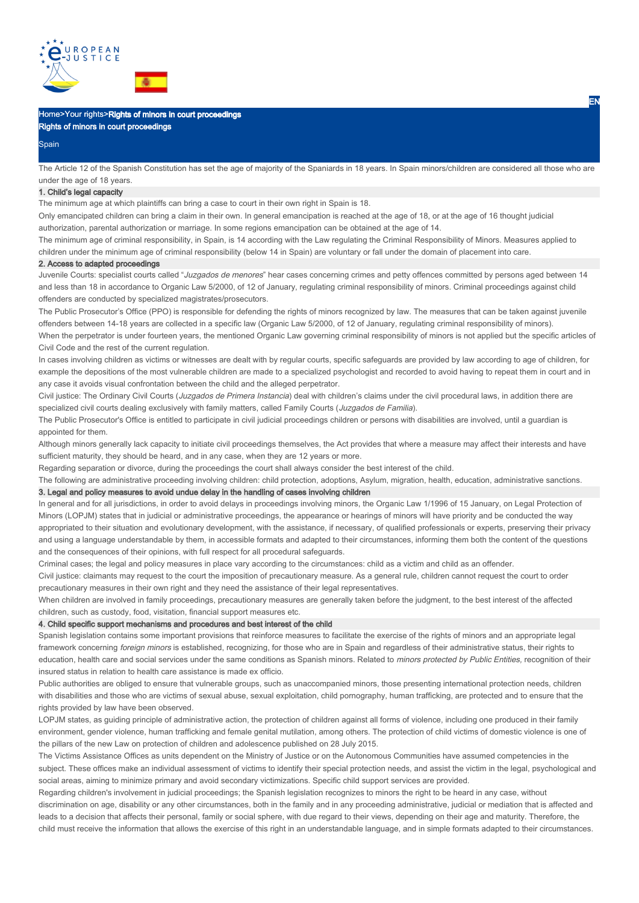

# Home>Your rights>Rights of minors in court proceedings

Rights of minors in court proceedings

#### **Spain**

The Article 12 of the Spanish Constitution has set the age of majority of the Spaniards in 18 years. In Spain minors/children are considered all those who are under the age of 18 years.

## 1. Child's legal capacity

The minimum age at which plaintiffs can bring a case to court in their own right in Spain is 18.

Only emancipated children can bring a claim in their own. In general emancipation is reached at the age of 18, or at the age of 16 thought judicial authorization, parental authorization or marriage. In some regions emancipation can be obtained at the age of 14.

The minimum age of criminal responsibility, in Spain, is 14 according with the Law regulating the Criminal Responsibility of Minors. Measures applied to children under the minimum age of criminal responsibility (below 14 in Spain) are voluntary or fall under the domain of placement into care.

#### 2. Access to adapted proceedings

Juvenile Courts: specialist courts called "Juzgados de menores" hear cases concerning crimes and petty offences committed by persons aged between 14 and less than 18 in accordance to Organic Law 5/2000, of 12 of January, regulating criminal responsibility of minors. Criminal proceedings against child offenders are conducted by specialized magistrates/prosecutors.

The Public Prosecutor's Office (PPO) is responsible for defending the rights of minors recognized by law. The measures that can be taken against juvenile offenders between 14-18 years are collected in a specific law (Organic Law 5/2000, of 12 of January, regulating criminal responsibility of minors).

When the perpetrator is under fourteen years, the mentioned Organic Law governing criminal responsibility of minors is not applied but the specific articles of Civil Code and the rest of the current regulation.

In cases involving children as victims or witnesses are dealt with by regular courts, specific safeguards are provided by law according to age of children, for example the depositions of the most vulnerable children are made to a specialized psychologist and recorded to avoid having to repeat them in court and in any case it avoids visual confrontation between the child and the alleged perpetrator.

Civil justice: The Ordinary Civil Courts (Juzgados de Primera Instancia) deal with children's claims under the civil procedural laws, in addition there are specialized civil courts dealing exclusively with family matters, called Family Courts (Juzgados de Familia).

The Public Prosecutor's Office is entitled to participate in civil judicial proceedings children or persons with disabilities are involved, until a guardian is appointed for them.

Although minors generally lack capacity to initiate civil proceedings themselves, the Act provides that where a measure may affect their interests and have sufficient maturity, they should be heard, and in any case, when they are 12 years or more.

Regarding separation or divorce, during the proceedings the court shall always consider the best interest of the child.

The following are administrative proceeding involving children: child protection, adoptions, Asylum, migration, health, education, administrative sanctions. 3. Legal and policy measures to avoid undue delay in the handling of cases involving children

In general and for all jurisdictions, in order to avoid delays in proceedings involving minors, the Organic Law 1/1996 of 15 January, on Legal Protection of Minors (LOPJM) states that in judicial or administrative proceedings, the appearance or hearings of minors will have priority and be conducted the way appropriated to their situation and evolutionary development, with the assistance, if necessary, of qualified professionals or experts, preserving their privacy and using a language understandable by them, in accessible formats and adapted to their circumstances, informing them both the content of the questions and the consequences of their opinions, with full respect for all procedural safeguards.

Criminal cases; the legal and policy measures in place vary according to the circumstances: child as a victim and child as an offender.

Civil justice: claimants may request to the court the imposition of precautionary measure. As a general rule, children cannot request the court to order precautionary measures in their own right and they need the assistance of their legal representatives.

When children are involved in family proceedings, precautionary measures are generally taken before the judgment, to the best interest of the affected children, such as custody, food, visitation, financial support measures etc.

## 4. Child specific support mechanisms and procedures and best interest of the child

Spanish legislation contains some important provisions that reinforce measures to facilitate the exercise of the rights of minors and an appropriate legal framework concerning foreign minors is established, recognizing, for those who are in Spain and regardless of their administrative status, their rights to education, health care and social services under the same conditions as Spanish minors. Related to minors protected by Public Entities, recognition of their insured status in relation to health care assistance is made ex officio.

Public authorities are obliged to ensure that vulnerable groups, such as unaccompanied minors, those presenting international protection needs, children with disabilities and those who are victims of sexual abuse, sexual exploitation, child pornography, human trafficking, are protected and to ensure that the rights provided by law have been observed.

LOPJM states, as guiding principle of administrative action, the protection of children against all forms of violence, including one produced in their family environment, gender violence, human trafficking and female genital mutilation, among others. The protection of child victims of domestic violence is one of the pillars of the new Law on protection of children and adolescence published on 28 July 2015.

The Victims Assistance Offices as units dependent on the Ministry of Justice or on the Autonomous Communities have assumed competencies in the subject. These offices make an individual assessment of victims to identify their special protection needs, and assist the victim in the legal, psychological and social areas, aiming to minimize primary and avoid secondary victimizations. Specific child support services are provided.

Regarding children's involvement in judicial proceedings; the Spanish legislation recognizes to minors the right to be heard in any case, without discrimination on age, disability or any other circumstances, both in the family and in any proceeding administrative, judicial or mediation that is affected and leads to a decision that affects their personal, family or social sphere, with due regard to their views, depending on their age and maturity. Therefore, the child must receive the information that allows the exercise of this right in an understandable language, and in simple formats adapted to their circumstances.

EN